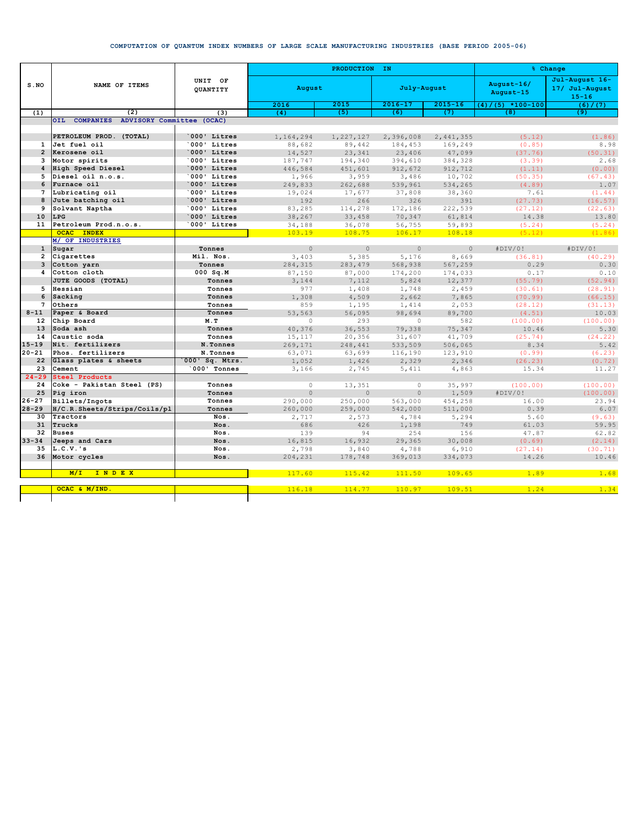## **COMPUTATION OF QUANTUM INDEX NUMBERS OF LARGE SCALE MANUFACTURING INDUSTRIES (BASE PERIOD 2005-06)**

|                 | NAME OF ITEMS                           | UNIT OF<br>QUANTITY        |               | PRODUCTION IN  | % Change       |                |                         |                                               |
|-----------------|-----------------------------------------|----------------------------|---------------|----------------|----------------|----------------|-------------------------|-----------------------------------------------|
| $S$ . NO        |                                         |                            | August        |                | July-August    |                | August-16/<br>August-15 | Jul-August 16-<br>17/ Jul-August<br>$15 - 16$ |
|                 |                                         |                            | 2016          | 2015           | $2016 - 17$    | $2015 - 16$    | $(4) / (5)$ *100-100    | (6) / (7)                                     |
| (1)             | (2)                                     | (3)                        | (4)           | (5)            | (6)            | (7)            | (8)                     | (9)                                           |
|                 | OIL COMPANIES ADVISORY Committee (OCAC) |                            |               |                |                |                |                         |                                               |
|                 |                                         |                            |               |                |                |                |                         |                                               |
|                 | PETROLEUM PROD. (TOTAL)                 | 000' Litres                | 1,164,294     | 1,227,127      | 2,396,008      | 2,441,355      | (5.12)                  | (1.86)                                        |
| $\mathbf{1}$    | Jet fuel oil                            | 000' Litres                | 88,682        | 89,442         | 184,453        | 169,249        | (0.85)                  | 8.98                                          |
|                 | 2 Kerosene oil                          | 000' Litres                | 14,527        | 23,341         | 23,406         | 47,099         | (37.76)                 | (50.31)                                       |
| 3               | Motor spirits                           | 000' Litres                | 187,747       | 194,340        | 394,610        | 384,328        | (3.39)                  | 2.68                                          |
| $\overline{4}$  | High Speed Diesel                       | 000' Litres                | 446,584       | 451,601        | 912,672        | 912,712        | (1.11)                  | (0.00)                                        |
| 5               | Diesel oil n.o.s.<br>Furnace oil        | '000' Litres               | 1,966         | 3,959          | 3,486          | 10,702         | (50.35)                 | (67.43)                                       |
| 6               |                                         | 000' Litres                | 249,833       | 262,688        | 539,961        | 534,265        | (4.89)                  | 1.07                                          |
| $7\overline{ }$ | Lubricating oil                         | 000' Litres<br>000' Litres | 19,024        | 17,677         | 37,808         | 38,360         | 7.61                    | (1.44)                                        |
| 8<br>9          | Jute batching oil<br>Solvant Naptha     | 000' Litres                | 192<br>83,285 | 266<br>114,278 | 326<br>172,186 | 391<br>222,539 | (27.73)<br>(27.12)      | (16.57)                                       |
| 10              | LPG                                     | 000' Litres                | 38,267        | 33,458         | 70,347         | 61,814         | 14.38                   | (22.63)<br>13.80                              |
| 11              | Petroleum Prod.n.o.s.                   | 000' Litres                | 34,188        | 36,078         | 56,755         | 59,893         | (5.24)                  | (5.24)                                        |
|                 | <b>OCAC INDEX</b>                       |                            | 103.19        | 108.75         | 106.17         | 108.18         | (5.12)                  |                                               |
|                 | M/ OF INDUSTRIES                        |                            |               |                |                |                |                         | (1.86)                                        |
| $\mathbf{1}$    | Sugar                                   | Tonnes                     | $\Omega$      | $\Omega$       | $\Omega$       | $\Omega$       | #DIV/0!                 | #DIV/0!                                       |
| $\overline{2}$  | Cigarettes                              | Mil. Nos.                  | 3.403         | 5,385          | 5,176          | 8,669          | (36.81)                 | (40.29)                                       |
| $\mathbf{3}$    | Cotton yarn                             | Tonnes                     | 284,315       | 283,479        | 568,938        | 567,259        | 0.29                    | 0.30                                          |
| 4               | Cotton cloth                            | $000$ Sq.M                 | 87,150        | 87,000         | 174,200        | 174,033        | 0.17                    | 0.10                                          |
|                 | JUTE GOODS (TOTAL)                      | Tonnes                     | 3,144         | 7,112          | 5,824          | 12,377         | (55.79)                 | (52.94)                                       |
| 5               | Hessian                                 | Tonnes                     | 977           | 1,408          | 1,748          | 2,459          | (30.61)                 | (28.91)                                       |
| 6               | Sacking                                 | Tonnes                     | 1,308         | 4,509          | 2,662          | 7,865          | (70.99)                 | (66.15)                                       |
| 7               | Others                                  | Tonnes                     | 859           | 1,195          | 1,414          | 2,053          | (28.12)                 | (31.13)                                       |
| $8 - 11$        | Paper & Board                           | Tonnes                     | 53,563        | 56,095         | 98,694         | 89,700         | (4.51)                  | 10.03                                         |
| 12 <sup>2</sup> | Chip Board                              | M.T                        | $\Omega$      | 293            | $\Omega$       | 582            | (100.00)                | (100.00)                                      |
| 13              | Soda ash                                | Tonnes                     | 40,376        | 36,553         | 79,338         | 75,347         | 10.46                   | 5.30                                          |
| 14              | Caustic soda                            | Tonnes                     | 15,117        | 20,356         | 31,607         | 41,709         | (25.74)                 | (24.22)                                       |
| $15 - 19$       | Nit. fertilizers                        | N.Tonnes                   | 269,171       | 248,441        | 533,509        | 506,065        | 8.34                    | 5.42                                          |
| $20 - 21$       | Phos. fertilizers                       | N.Tonnes                   | 63,071        | 63,699         | 116,190        | 123,910        | (0.99)                  | (6.23)                                        |
| 22              | Glass plates & sheets                   | 000' Sq. Mtrs.             | 1,052         | 1,426          | 2,329          | 2,346          | (26.23)                 | (0.72)                                        |
| 23              | Cement                                  | 000' Tonnes                | 3,166         | 2,745          | 5,411          | 4,863          | 15.34                   | 11.27                                         |
| $24 - 29$       | Steel Products                          |                            |               |                |                |                |                         |                                               |
| 24              | Coke - Pakistan Steel (PS)              | Tonnes                     | $\circ$       | 13,351         | $\circ$        | 35,997         | (100.00)                | (100.00)                                      |
| 25              | Pig iron                                | Tonnes                     | $\circ$       | $\circ$        | $\circ$        | 1,509          | #DIV/0!                 | (100.00)                                      |
| $26 - 27$       | Billets/Ingots                          | Tonnes                     | 290,000       | 250,000        | 563,000        | 454,258        | 16.00                   | 23.94                                         |
| $28 - 29$       | H/C.R.Sheets/Strips/Coils/pl            | Tonnes                     | 260,000       | 259,000        | 542,000        | 511,000        | 0.39                    | 6.07                                          |
| 30              | Tractors                                | Nos.                       | 2,717         | 2,573          | 4,784          | 5,294          | 5.60                    | (9.63)                                        |
| 31              | Trucks                                  | Nos.                       | 686           | 426            | 1,198          | 749            | 61.03                   | 59.95                                         |
| 32              | <b>Buses</b>                            | Nos.                       | 139           | 94             | 254            | 156            | 47.87                   | 62.82                                         |
| $33 - 34$       | Jeeps and Cars                          | Nos.                       | 16,815        | 16,932         | 29,365         | 30,008         | (0.69)                  | (2.14)                                        |
| 35              | $L.C.V.$ 's                             | Nos.                       | 2,798         | 3,840          | 4,788          | 6,910          | (27.14)                 | (30.71)                                       |
| 36              | Motor cycles                            | Nos.                       | 204,231       | 178,748        | 369,013        | 334,073        | 14.26                   | 10.46                                         |
|                 | INDEX<br>M/T                            |                            | 117.60        | 115.42         | 111.50         | 109.65         | 1.89                    | 1.68                                          |
|                 |                                         |                            |               |                |                |                |                         |                                               |
|                 | OCAC & M/IND.                           |                            | 116.18        | 114.77         | 110.97         | 109.51         | 1.24                    | 1.34                                          |